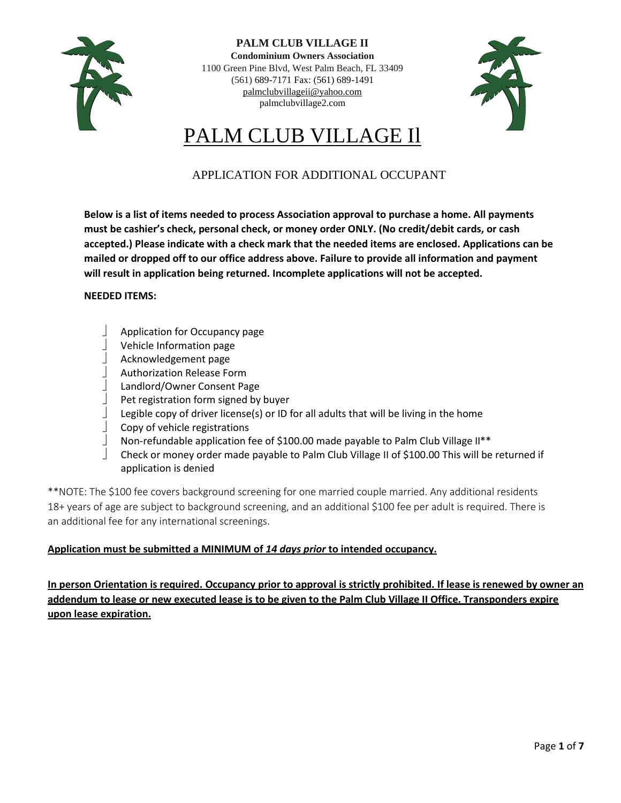

**PALM CLUB VILLAGE II Condominium Owners Association** 1100 Green Pine Blvd, West Palm Beach, FL 33409 (561) 689-7171 Fax: (561) 689-1491 [palmclubvillageii@yahoo.com](mailto:palmclubvillageii@yahoo.com) palmclubvillage2.com



# PALM CLUB VILLAGE Il

## APPLICATION FOR ADDITIONAL OCCUPANT

**Below is a list of items needed to process Association approval to purchase a home. All payments must be cashier's check, personal check, or money order ONLY. (No credit/debit cards, or cash accepted.) Please indicate with a check mark that the needed items are enclosed. Applications can be mailed or dropped off to our office address above. Failure to provide all information and payment will result in application being returned. Incomplete applications will not be accepted.**

#### **NEEDED ITEMS:**

- Application for Occupancy page
- Vehicle Information page
- Acknowledgement page
- Authorization Release Form
- Landlord/Owner Consent Page
- Pet registration form signed by buyer
- Legible copy of driver license(s) or ID for all adults that will be living in the home
- Copy of vehicle registrations
- Non-refundable application fee of \$100.00 made payable to Palm Club Village II\*\*
- Check or money order made payable to Palm Club Village II of \$100.00 This will be returned if application is denied

\*\*NOTE: The \$100 fee covers background screening for one married couple married. Any additional residents 18+ years of age are subject to background screening, and an additional \$100 fee per adult is required. There is an additional fee for any international screenings.

#### **Application must be submitted a MINIMUM of** *14 days prior* **to intended occupancy.**

**In person Orientation is required. Occupancy prior to approval is strictly prohibited. If lease is renewed by owner an addendum to lease or new executed lease is to be given to the Palm Club Village II Office. Transponders expire upon lease expiration.**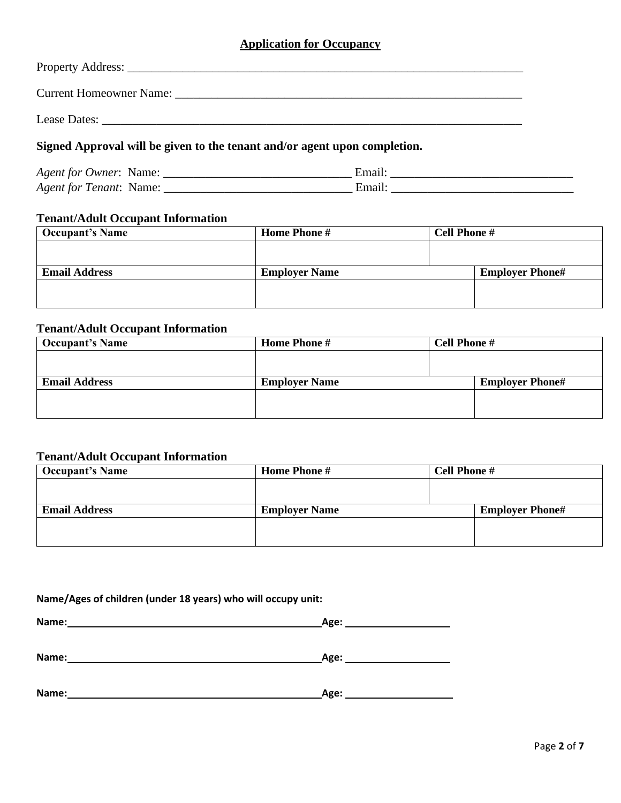### **Application for Occupancy**

| Lease Dates: the contract of the contract of the contract of the contract of the contract of the contract of the contract of the contract of the contract of the contract of the contract of the contract of the contract of t |  |
|--------------------------------------------------------------------------------------------------------------------------------------------------------------------------------------------------------------------------------|--|
| Signed Approval will be given to the tenant and/or agent upon completion.                                                                                                                                                      |  |

| Agent for "<br>Owner:<br>Name.            |  |
|-------------------------------------------|--|
| Agent for<br>renant <sup>.</sup><br>Name. |  |

### **Tenant/Adult Occupant Information**

| <b>Occupant's Name</b> | <b>Home Phone #</b>  | <b>Cell Phone #</b> |                        |
|------------------------|----------------------|---------------------|------------------------|
|                        |                      |                     |                        |
|                        |                      |                     |                        |
| <b>Email Address</b>   | <b>Employer Name</b> |                     | <b>Employer Phone#</b> |
|                        |                      |                     |                        |
|                        |                      |                     |                        |
|                        |                      |                     |                        |

### **Tenant/Adult Occupant Information**

| <b>Occupant's Name</b> | <b>Home Phone #</b>  | <b>Cell Phone #</b> |                        |
|------------------------|----------------------|---------------------|------------------------|
|                        |                      |                     |                        |
|                        |                      |                     |                        |
| <b>Email Address</b>   | <b>Employer Name</b> |                     | <b>Employer Phone#</b> |
|                        |                      |                     |                        |
|                        |                      |                     |                        |
|                        |                      |                     |                        |

### **Tenant/Adult Occupant Information**

| Occupant's Name      | <b>Home Phone #</b>  | <b>Cell Phone #</b>    |
|----------------------|----------------------|------------------------|
|                      |                      |                        |
|                      |                      |                        |
| <b>Email Address</b> | <b>Employer Name</b> | <b>Employer Phone#</b> |
|                      |                      |                        |
|                      |                      |                        |

### **Name/Ages of children (under 18 years) who will occupy unit:**

| Name <sup>.</sup><br>ne: | . . |
|--------------------------|-----|
|                          |     |
|                          |     |

| Name:<br>______ | <b>Age:</b> |
|-----------------|-------------|
|                 |             |

| Name: | Age: |
|-------|------|
|       |      |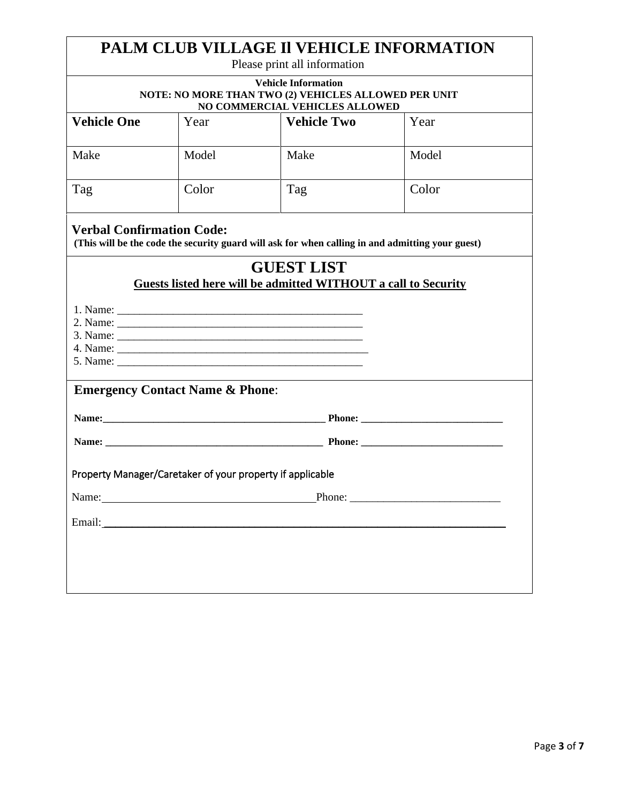| PALM CLUB VILLAGE II VEHICLE INFORMATION<br>Please print all information                                                                                                                                                       |                                                                                                                      |                                                                                                                                                                                                                                |        |  |
|--------------------------------------------------------------------------------------------------------------------------------------------------------------------------------------------------------------------------------|----------------------------------------------------------------------------------------------------------------------|--------------------------------------------------------------------------------------------------------------------------------------------------------------------------------------------------------------------------------|--------|--|
|                                                                                                                                                                                                                                | <b>Vehicle Information</b><br>NOTE: NO MORE THAN TWO (2) VEHICLES ALLOWED PER UNIT<br>NO COMMERCIAL VEHICLES ALLOWED |                                                                                                                                                                                                                                |        |  |
| <b>Vehicle One</b>                                                                                                                                                                                                             | Year                                                                                                                 | <b>Vehicle Two</b>                                                                                                                                                                                                             | Year   |  |
| Make                                                                                                                                                                                                                           | Model                                                                                                                | Make                                                                                                                                                                                                                           | Model  |  |
| Tag                                                                                                                                                                                                                            | Color                                                                                                                | Tag                                                                                                                                                                                                                            | Color  |  |
| <b>Verbal Confirmation Code:</b>                                                                                                                                                                                               |                                                                                                                      | (This will be the code the security guard will ask for when calling in and admitting your guest)                                                                                                                               |        |  |
|                                                                                                                                                                                                                                |                                                                                                                      | <b>GUEST LIST</b><br>Guests listed here will be admitted WITHOUT a call to Security                                                                                                                                            |        |  |
|                                                                                                                                                                                                                                |                                                                                                                      |                                                                                                                                                                                                                                |        |  |
| <b>Emergency Contact Name &amp; Phone:</b>                                                                                                                                                                                     |                                                                                                                      |                                                                                                                                                                                                                                |        |  |
|                                                                                                                                                                                                                                |                                                                                                                      | Name: Phone: Phone: 2008. Phone: 2008. Phone: 2008. Phone: 2008. Phone: 2008. Phone: 2008. Phone: 2008. Phone: 2008. Phone: 2008. Phone: 2008. Phone: 2008. Phone: 2008. Phone: 2008. Phone: 2008. Phone: 2008. Phone: 2008. P |        |  |
| Name: <u>Name:</u> Phone: Phone: Phone: Phone: 2004                                                                                                                                                                            |                                                                                                                      |                                                                                                                                                                                                                                |        |  |
| Property Manager/Caretaker of your property if applicable                                                                                                                                                                      |                                                                                                                      |                                                                                                                                                                                                                                |        |  |
| Name: Name and the state of the state of the state of the state of the state of the state of the state of the state of the state of the state of the state of the state of the state of the state of the state of the state of |                                                                                                                      |                                                                                                                                                                                                                                | Phone: |  |
| Email:                                                                                                                                                                                                                         | <u> 1980 - Jan Alexandri, manatar masjid a shekara ta 1980 a shekara ta 1980 a shekara ta 1980 a shekara ta 1980</u> |                                                                                                                                                                                                                                |        |  |
|                                                                                                                                                                                                                                |                                                                                                                      |                                                                                                                                                                                                                                |        |  |
|                                                                                                                                                                                                                                |                                                                                                                      |                                                                                                                                                                                                                                |        |  |
|                                                                                                                                                                                                                                |                                                                                                                      |                                                                                                                                                                                                                                |        |  |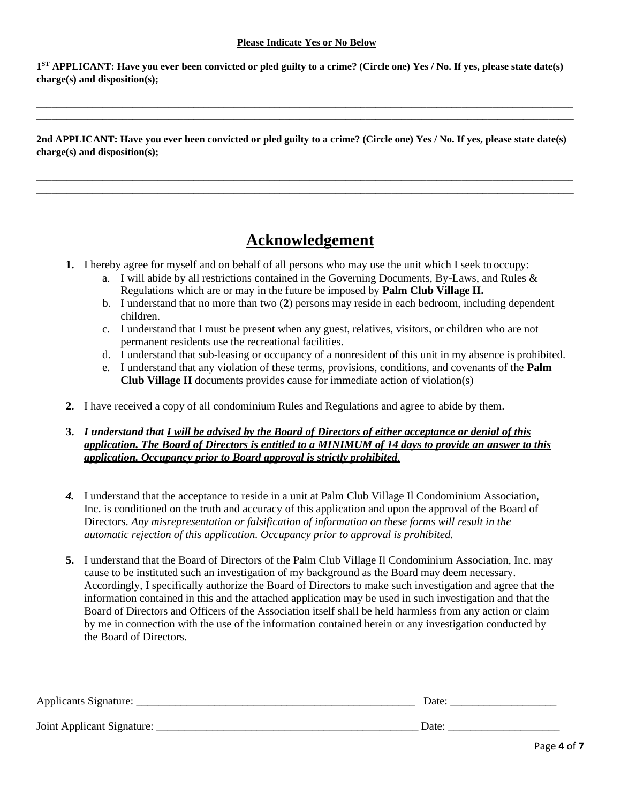#### **Please Indicate Yes or No Below**

**1 ST APPLICANT: Have you ever been convicted or pled guilty to a crime? (Circle one) Yes / No. If yes, please state date(s) charge(s) and disposition(s);**

**\_\_\_\_\_\_\_\_\_\_\_\_\_\_\_\_\_\_\_\_\_\_\_\_\_\_\_\_\_\_\_\_\_\_\_\_\_\_\_\_\_\_\_\_\_\_\_\_\_\_\_\_\_\_\_\_\_\_\_\_\_\_\_\_\_\_\_\_\_\_\_\_\_\_\_\_\_\_\_\_\_\_\_\_\_\_\_\_\_\_\_\_\_\_\_\_\_\_\_\_\_\_\_\_\_\_ \_\_\_\_\_\_\_\_\_\_\_\_\_\_\_\_\_\_\_\_\_\_\_\_\_\_\_\_\_\_\_\_\_\_\_\_\_\_\_\_\_\_\_\_\_\_\_\_\_\_\_\_\_\_\_\_\_\_\_\_\_\_\_\_\_\_\_\_\_\_\_\_\_\_\_\_\_\_\_\_\_\_\_\_\_\_\_\_\_\_\_\_\_\_\_\_\_\_\_\_\_\_\_\_\_\_**

**2nd APPLICANT: Have you ever been convicted or pled guilty to a crime? (Circle one) Yes / No. If yes, please state date(s) charge(s) and disposition(s);**

**\_\_\_\_\_\_\_\_\_\_\_\_\_\_\_\_\_\_\_\_\_\_\_\_\_\_\_\_\_\_\_\_\_\_\_\_\_\_\_\_\_\_\_\_\_\_\_\_\_\_\_\_\_\_\_\_\_\_\_\_\_\_\_\_\_\_\_\_\_\_\_\_\_\_\_\_\_\_\_\_\_\_\_\_\_\_\_\_\_\_\_\_\_\_\_\_\_\_\_\_\_\_\_\_\_\_ \_\_\_\_\_\_\_\_\_\_\_\_\_\_\_\_\_\_\_\_\_\_\_\_\_\_\_\_\_\_\_\_\_\_\_\_\_\_\_\_\_\_\_\_\_\_\_\_\_\_\_\_\_\_\_\_\_\_\_\_\_\_\_\_\_\_\_\_\_\_\_\_\_\_\_\_\_\_\_\_\_\_\_\_\_\_\_\_\_\_\_\_\_\_\_\_\_\_\_\_\_\_\_\_\_\_**

# **Acknowledgement**

- **1.** I hereby agree for myself and on behalf of all persons who may use the unit which I seek to occupy:
	- a. I will abide by all restrictions contained in the Governing Documents, By-Laws, and Rules & Regulations which are or may in the future be imposed by **Palm Club Village II.**
	- b. I understand that no more than two (**2**) persons may reside in each bedroom, including dependent children.
	- c. I understand that I must be present when any guest, relatives, visitors, or children who are not permanent residents use the recreational facilities.
	- d. I understand that sub-leasing or occupancy of a nonresident of this unit in my absence is prohibited.
	- e. I understand that any violation of these terms, provisions, conditions, and covenants of the **Palm Club Village II** documents provides cause for immediate action of violation(s)
- **2.** I have received a copy of all condominium Rules and Regulations and agree to abide by them.

**3.** *I understand that I will be advised by the Board of Directors of either acceptance or denial of this application. The Board of Directors is entitled to a MINIMUM of 14 days to provide an answer to this application. Occupancy prior to Board approval is strictly prohibited*.

- *4.* I understand that the acceptance to reside in a unit at Palm Club Village Il Condominium Association, Inc. is conditioned on the truth and accuracy of this application and upon the approval of the Board of Directors. *Any misrepresentation or falsification of information on these forms will result in the automatic rejection of this application. Occupancy prior to approval is prohibited.*
- **5.** I understand that the Board of Directors of the Palm Club Village Il Condominium Association, Inc. may cause to be instituted such an investigation of my background as the Board may deem necessary. Accordingly, I specifically authorize the Board of Directors to make such investigation and agree that the information contained in this and the attached application may be used in such investigation and that the Board of Directors and Officers of the Association itself shall be held harmless from any action or claim by me in connection with the use of the information contained herein or any investigation conducted by the Board of Directors.

| <b>Applicants Signature:</b> | Date  |
|------------------------------|-------|
| Joint Applicant Signature:   | Date. |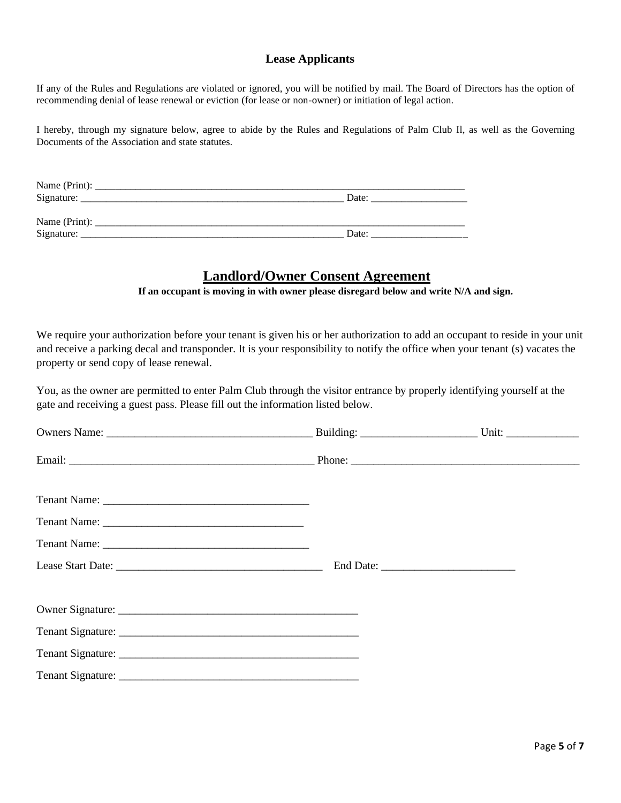#### **Lease Applicants**

If any of the Rules and Regulations are violated or ignored, you will be notified by mail. The Board of Directors has the option of recommending denial of lease renewal or eviction (for lease or non-owner) or initiation of legal action.

I hereby, through my signature below, agree to abide by the Rules and Regulations of Palm Club Il, as well as the Governing Documents of the Association and state statutes.

| Name (Print): |       |
|---------------|-------|
| Signature:    | Date: |
|               |       |
| Name (Print): |       |
| Signature:    | Date: |

## **Landlord/Owner Consent Agreement**

**If an occupant is moving in with owner please disregard below and write N/A and sign.**

We require your authorization before your tenant is given his or her authorization to add an occupant to reside in your unit and receive a parking decal and transponder. It is your responsibility to notify the office when your tenant (s) vacates the property or send copy of lease renewal.

You, as the owner are permitted to enter Palm Club through the visitor entrance by properly identifying yourself at the gate and receiving a guest pass. Please fill out the information listed below.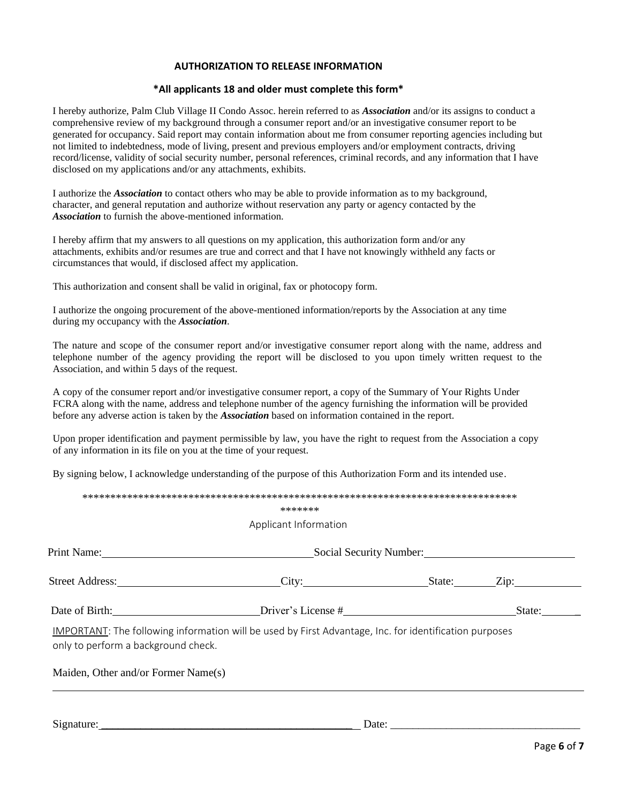#### **AUTHORIZATION TO RELEASE INFORMATION**

#### **\*All applicants 18 and older must complete this form\***

I hereby authorize, Palm Club Village II Condo Assoc. herein referred to as *Association* and/or its assigns to conduct a comprehensive review of my background through a consumer report and/or an investigative consumer report to be generated for occupancy. Said report may contain information about me from consumer reporting agencies including but not limited to indebtedness, mode of living, present and previous employers and/or employment contracts, driving record/license, validity of social security number, personal references, criminal records, and any information that I have disclosed on my applications and/or any attachments, exhibits.

I authorize the *Association* to contact others who may be able to provide information as to my background, character, and general reputation and authorize without reservation any party or agency contacted by the *Association* to furnish the above-mentioned information.

I hereby affirm that my answers to all questions on my application, this authorization form and/or any attachments, exhibits and/or resumes are true and correct and that I have not knowingly withheld any facts or circumstances that would, if disclosed affect my application.

This authorization and consent shall be valid in original, fax or photocopy form.

I authorize the ongoing procurement of the above-mentioned information/reports by the Association at any time during my occupancy with the *Association*.

The nature and scope of the consumer report and/or investigative consumer report along with the name, address and telephone number of the agency providing the report will be disclosed to you upon timely written request to the Association, and within 5 days of the request.

A copy of the consumer report and/or investigative consumer report, a copy of the Summary of Your Rights Under FCRA along with the name, address and telephone number of the agency furnishing the information will be provided before any adverse action is taken by the *Association* based on information contained in the report.

Upon proper identification and payment permissible by law, you have the right to request from the Association a copy of any information in its file on you at the time of your request.

By signing below, I acknowledge understanding of the purpose of this Authorization Form and its intended use.

|                                                                                                                                                                                                                               | Applicant Information                                                                                  |                         |        |  |
|-------------------------------------------------------------------------------------------------------------------------------------------------------------------------------------------------------------------------------|--------------------------------------------------------------------------------------------------------|-------------------------|--------|--|
| Print Name: 1000 million and the Manual Annual Annual Annual Annual Annual Annual Annual Annual Annual Annual Annual Annual Annual Annual Annual Annual Annual Annual Annual Annual Annual Annual Annual Annual Annual Annual |                                                                                                        | Social Security Number: |        |  |
|                                                                                                                                                                                                                               | Street Address: City: City: State: Zip:                                                                |                         |        |  |
|                                                                                                                                                                                                                               | Date of Birth: <u>Driver's License #</u>                                                               |                         | State: |  |
| only to perform a background check.                                                                                                                                                                                           | IMPORTANT: The following information will be used by First Advantage, Inc. for identification purposes |                         |        |  |
|                                                                                                                                                                                                                               |                                                                                                        |                         |        |  |

Signature: \_\_\_\_\_\_\_\_\_\_\_\_\_\_\_\_\_\_\_\_\_\_\_\_\_\_\_\_\_\_\_\_\_\_\_\_\_\_\_\_\_\_\_\_\_ Date: \_\_\_\_\_\_\_\_\_\_\_\_\_\_\_\_\_\_\_\_\_\_\_\_\_\_\_\_\_\_\_\_\_\_